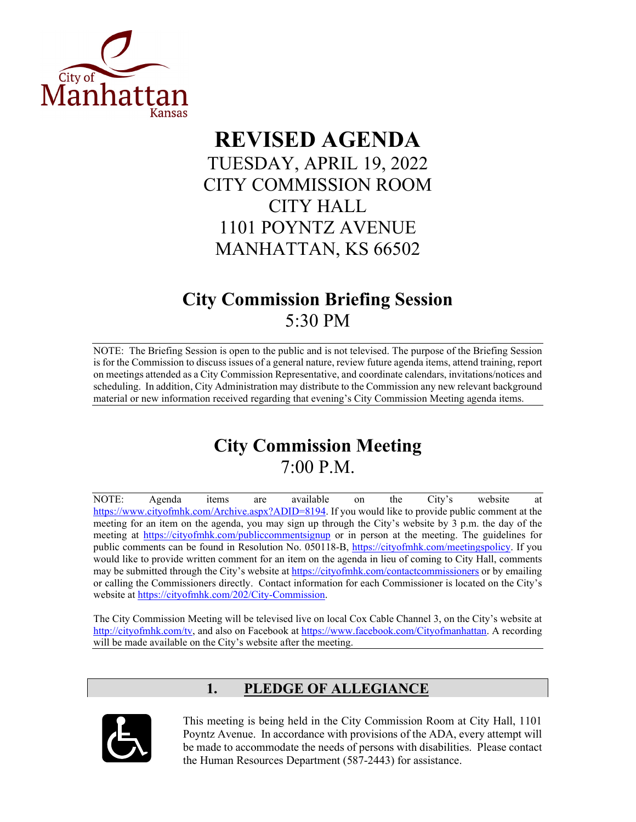

# **REVISED AGENDA** TUESDAY, APRIL 19, 2022 CITY COMMISSION ROOM CITY HALL 1101 POYNTZ AVENUE MANHATTAN, KS 66502

# **City Commission Briefing Session** 5:30 PM

NOTE: The Briefing Session is open to the public and is not televised. The purpose of the Briefing Session is for the Commission to discuss issues of a general nature, review future agenda items, attend training, report on meetings attended as a City Commission Representative, and coordinate calendars, invitations/notices and scheduling. In addition, City Administration may distribute to the Commission any new relevant background material or new information received regarding that evening's City Commission Meeting agenda items.

# **City Commission Meeting** 7:00 P.M.

NOTE: Agenda items are available on the City's website at [https://www.cityofmhk.com/Archive.aspx?ADID=8194.](https://www.cityofmhk.com/Archive.aspx?ADID=8194) If you would like to provide public comment at the meeting for an item on the agenda, you may sign up through the City's website by 3 p.m. the day of the meeting at<https://cityofmhk.com/publiccommentsignup> or in person at the meeting. The guidelines for public comments can be found in Resolution No. 050118-B, [https://cityofmhk.com/meetingspolicy.](https://cityofmhk.com/meetingspolicy) If you would like to provide written comment for an item on the agenda in lieu of coming to City Hall, comments may be submitted through the City's website at<https://cityofmhk.com/contactcommissioners> or by emailing or calling the Commissioners directly. Contact information for each Commissioner is located on the City's website at [https://cityofmhk.com/202/City-Commission.](https://cityofmhk.com/202/City-Commission)

The City Commission Meeting will be televised live on local Cox Cable Channel 3, on the City's website at [http://cityofmhk.com/tv,](http://cityofmhk.com/tv) and also on Facebook at [https://www.facebook.com/Cityofmanhattan.](https://www.facebook.com/Cityofmanhattan) A recording will be made available on the City's website after the meeting.

# **1. PLEDGE OF ALLEGIANCE**



This meeting is being held in the City Commission Room at City Hall, 1101 Poyntz Avenue. In accordance with provisions of the ADA, every attempt will be made to accommodate the needs of persons with disabilities. Please contact the Human Resources Department (587-2443) for assistance.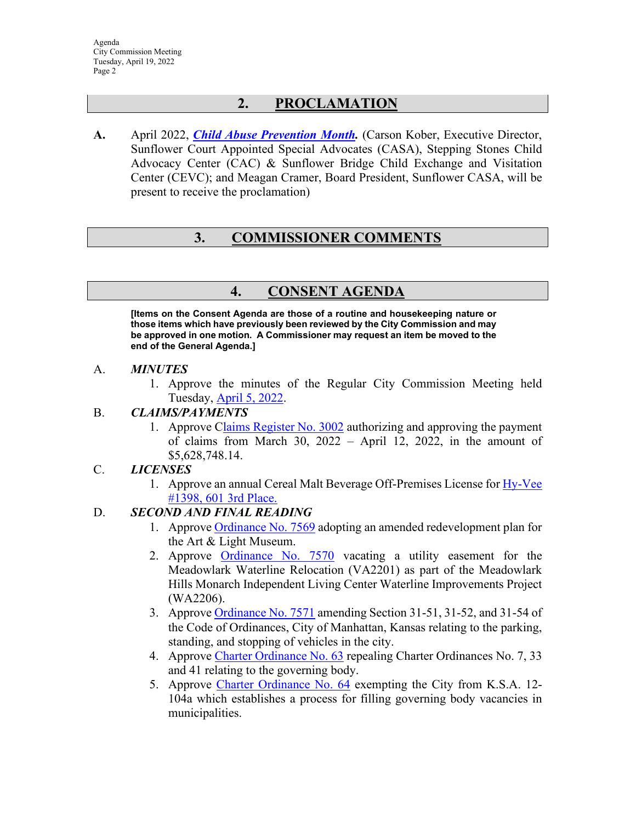# **2. PROCLAMATION**

**A.** April 2022, *[Child Abuse Prevention Month.](https://manhattanks.sharepoint.com/:b:/s/CommissionPacket/Ef4_EbgqQeBFvKe5AyvMfCUB29vbMmaYbG86rvgJyMGBHg?e=A5Z4YF)* (Carson Kober, Executive Director, Sunflower Court Appointed Special Advocates (CASA), Stepping Stones Child Advocacy Center (CAC) & Sunflower Bridge Child Exchange and Visitation Center (CEVC); and Meagan Cramer, Board President, Sunflower CASA, will be present to receive the proclamation)

# **3. COMMISSIONER COMMENTS**

# **4. CONSENT AGENDA**

**[Items on the Consent Agenda are those of a routine and housekeeping nature or those items which have previously been reviewed by the City Commission and may be approved in one motion. A Commissioner may request an item be moved to the end of the General Agenda.]** 

#### A. *MINUTES*

1. Approve the minutes of the Regular City Commission Meeting held Tuesday, [April 5, 2022.](https://manhattanks.sharepoint.com/:b:/s/CommissionPacket/ERedcyJSTNpAt_NjU9cDojEBMRYOJUfeSYtRp5FfmhkcoA?e=fuSlYT)

## B. *CLAIMS/PAYMENTS*

1. Approve [Claims Register No. 3002](https://manhattanks.sharepoint.com/:b:/s/CommissionPacket/Ea4fGI9iWmpNsyqQ3OhlEP0BNAgKYdIxUVRkC0tEs9sHkw?e=I3jgTn) authorizing and approving the payment of claims from March 30, 2022 – April 12, 2022, in the amount of \$5,628,748.14.

## C. *LICENSES*

1. Approve an annual Cereal Malt Beverage Off-Premises License for Hy-Vee [#1398, 601 3rd Place.](https://manhattanks.sharepoint.com/:b:/s/CommissionPacket/Ebfjg7NwKn9DjVkfLZzR3toBkwdwma-2Ow1AZ5o7qY9mUw?e=nEdNGQ)

# D. *SECOND AND FINAL READING*

- 1. Approve [Ordinance No. 7569](https://manhattanks.sharepoint.com/:b:/s/CommissionPacket/Ea9whCITr1ZOlZZ5ATn_NeUBH4ck7pakUVfbtigvveoiZA?e=e0ZZrr) adopting an amended redevelopment plan for the Art & Light Museum.
- 2. Approve [Ordinance No. 7570](https://manhattanks.sharepoint.com/:b:/s/CommissionPacket/EYje8omwbhtGhpK-60vtj0YBSu5KaQoDjvW5w4vlmIKS7w?e=CnCJ0V) vacating a utility easement for the Meadowlark Waterline Relocation (VA2201) as part of the Meadowlark Hills Monarch Independent Living Center Waterline Improvements Project (WA2206).
- 3. Approve [Ordinance No. 7571](https://manhattanks.sharepoint.com/:b:/s/CommissionPacket/ET1bNkUzTj9KjFIg78HY8l4BGmwGH3psuXf4bbk53MBHHQ?e=VdGG89) amending Section 31-51, 31-52, and 31-54 of the Code of Ordinances, City of Manhattan, Kansas relating to the parking, standing, and stopping of vehicles in the city.
- 4. Approve [Charter Ordinance No. 63](https://manhattanks.sharepoint.com/:b:/s/CommissionPacket/EQyk_HvcjShIoYoCEwsJc5oBvTfF3ea5geXbfelETcZJPg?e=olqG1O) repealing Charter Ordinances No. 7, 33 and 41 relating to the governing body.
- 5. Approve [Charter Ordinance No. 64](https://manhattanks.sharepoint.com/:b:/s/CommissionPacket/EQPodv_Q_VxGozCDiBCbgbcBoHv7fg7x7_GACDKsJee9PA?e=auhUGI) exempting the City from K.S.A. 12- 104a which establishes a process for filling governing body vacancies in municipalities.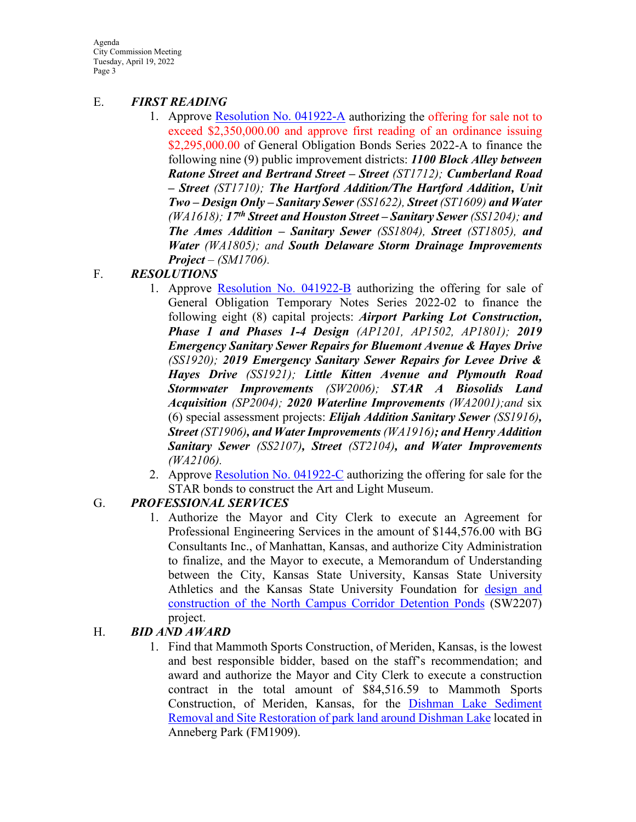Agenda City Commission Meeting Tuesday, April 19, 2022 Page 3

#### E. *FIRST READING*

1. Approve [Resolution No. 041922-A](https://manhattanks.sharepoint.com/:b:/s/CommissionPacket/EY5rs6Et9_NEpRWdBvzEhSAB4Q_lbp64oGcTFJfiY1w10A?e=ZeWHwu) authorizing the offering for sale not to exceed \$2,350,000.00 and approve first reading of an ordinance issuing \$2,295,000.00 of General Obligation Bonds Series 2022-A to finance the following nine (9) public improvement districts: *1100 Block Alley between Ratone Street and Bertrand Street – Street (ST1712); Cumberland Road – Street (ST1710); The Hartford Addition/The Hartford Addition, Unit Two – Design Only – Sanitary Sewer (SS1622), Street (ST1609) and Water (WA1618); 17th Street and Houston Street – Sanitary Sewer (SS1204); and The Ames Addition – Sanitary Sewer (SS1804), Street (ST1805), and Water (WA1805); and South Delaware Storm Drainage Improvements Project – (SM1706).* 

## F. *RESOLUTIONS*

- 1. Approve [Resolution No. 041922-B](https://manhattanks.sharepoint.com/:b:/s/CommissionPacket/EavKW_2ZkgpKltbh7WPDNckBtxC0mHKcAZLkWPCz1k7KhQ?e=EzgY0I) authorizing the offering for sale of General Obligation Temporary Notes Series 2022-02 to finance the following eight (8) capital projects: *Airport Parking Lot Construction, Phase 1 and Phases 1-4 Design (AP1201, AP1502, AP1801); 2019 Emergency Sanitary Sewer Repairs for Bluemont Avenue & Hayes Drive (SS1920); 2019 Emergency Sanitary Sewer Repairs for Levee Drive & Hayes Drive (SS1921); Little Kitten Avenue and Plymouth Road Stormwater Improvements (SW2006); STAR A Biosolids Land Acquisition (SP2004); 2020 Waterline Improvements (WA2001);and* six (6) special assessment projects: *Elijah Addition Sanitary Sewer (SS1916), Street (ST1906), and Water Improvements (WA1916); and Henry Addition Sanitary Sewer (SS2107), Street (ST2104), and Water Improvements (WA2106).*
- 2. Approve [Resolution No. 041922-C](https://manhattanks.sharepoint.com/:b:/s/CommissionPacket/Ec04xvS8WX1JpADU7font1YBJ2U1X61qftGQ2ruc4j9lFg?e=218IyU) authorizing the offering for sale for the STAR bonds to construct the Art and Light Museum.

## G. *PROFESSIONAL SERVICES*

1. Authorize the Mayor and City Clerk to execute an Agreement for Professional Engineering Services in the amount of \$144,576.00 with BG Consultants Inc., of Manhattan, Kansas, and authorize City Administration to finalize, and the Mayor to execute, a Memorandum of Understanding between the City, Kansas State University, Kansas State University Athletics and the Kansas State University Foundation for [design and](https://manhattanks.sharepoint.com/:b:/s/CommissionPacket/EWhyc25Z5TFHgUqgqlGBrAgBe3asjOQJTHsAw1GP3Ek2fg?e=A7BMSG)  [construction of the North Campus Corridor Detention Ponds](https://manhattanks.sharepoint.com/:b:/s/CommissionPacket/EWhyc25Z5TFHgUqgqlGBrAgBe3asjOQJTHsAw1GP3Ek2fg?e=A7BMSG) (SW2207) project.

## H. *BID AND AWARD*

1. Find that Mammoth Sports Construction, of Meriden, Kansas, is the lowest and best responsible bidder, based on the staff's recommendation; and award and authorize the Mayor and City Clerk to execute a construction contract in the total amount of \$84,516.59 to Mammoth Sports Construction, of Meriden, Kansas, for the [Dishman Lake Sediment](https://manhattanks.sharepoint.com/:b:/s/CommissionPacket/EVj8yz_mW75PnmUjEFSM9nYB2qvksYQWZtxUzaE9k1_MxA?e=Vehaz2)  [Removal and Site Restoration of park](https://manhattanks.sharepoint.com/:b:/s/CommissionPacket/EVj8yz_mW75PnmUjEFSM9nYB2qvksYQWZtxUzaE9k1_MxA?e=Vehaz2) land around Dishman Lake located in Anneberg Park (FM1909).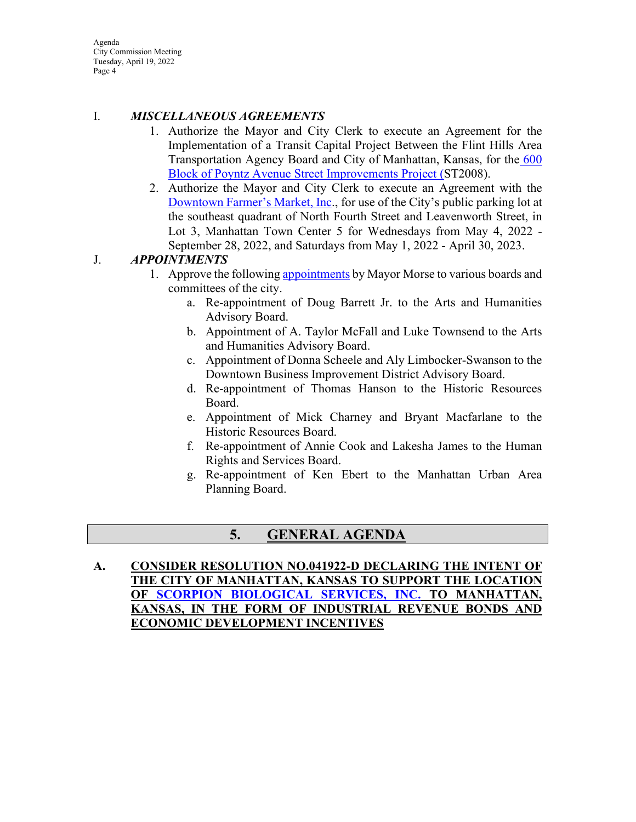Agenda City Commission Meeting Tuesday, April 19, 2022 Page 4

## I. *MISCELLANEOUS AGREEMENTS*

- 1. Authorize the Mayor and City Clerk to execute an Agreement for the Implementation of a Transit Capital Project Between the Flint Hills Area Transportation Agency Board and City of Manhattan, Kansas, for the 600 [Block of Poyntz Avenue Street Improvements Project \(S](https://manhattanks.sharepoint.com/:b:/s/CommissionPacket/Ec1L5ZKt9cpKhjN05_eZrlsBy__Sr9zvqCPllx3dDN5nqw?e=pjdjeu)T2008).
- 2. Authorize the Mayor and City Clerk to execute an Agreement with the [Downtown Farmer's Market, Inc.](https://manhattanks.sharepoint.com/:b:/s/CommissionPacket/EXclSnUmK3JJso29JHsr5N8B6rMERrufRl-br3jhl4Q0Ew?e=90eze7), for use of the City's public parking lot at the southeast quadrant of North Fourth Street and Leavenworth Street, in Lot 3, Manhattan Town Center 5 for Wednesdays from May 4, 2022 - September 28, 2022, and Saturdays from May 1, 2022 - April 30, 2023.

# J. *APPOINTMENTS*

- 1. Approve the following [appointments](https://manhattanks.sharepoint.com/:b:/s/CommissionPacket/Ebdu4dx4FPhCmbirHOIoCwkBObcHTvs7NK5Lv6beonCeBg?e=6ILNoH) by Mayor Morse to various boards and committees of the city.
	- a. Re-appointment of Doug Barrett Jr. to the Arts and Humanities Advisory Board.
	- b. Appointment of A. Taylor McFall and Luke Townsend to the Arts and Humanities Advisory Board.
	- c. Appointment of Donna Scheele and Aly Limbocker-Swanson to the Downtown Business Improvement District Advisory Board.
	- d. Re-appointment of Thomas Hanson to the Historic Resources Board.
	- e. Appointment of Mick Charney and Bryant Macfarlane to the Historic Resources Board.
	- f. Re-appointment of Annie Cook and Lakesha James to the Human Rights and Services Board.
	- g. Re-appointment of Ken Ebert to the Manhattan Urban Area Planning Board.

# **5. GENERAL AGENDA**

**A. CONSIDER RESOLUTION NO.041922-D DECLARING THE INTENT OF THE CITY OF MANHATTAN, KANSAS TO SUPPORT THE LOCATION OF [SCORPION BIOLOGICAL SERVICES, INC.](https://manhattanks.sharepoint.com/:b:/s/CommissionPacket/ERx9y2tsNJpIh644wiBFGooBa7AE0dJ3EJnJYdq-m3ms1w?e=DiP92x) TO MANHATTAN, KANSAS, IN THE FORM OF INDUSTRIAL REVENUE BONDS AND ECONOMIC DEVELOPMENT INCENTIVES**